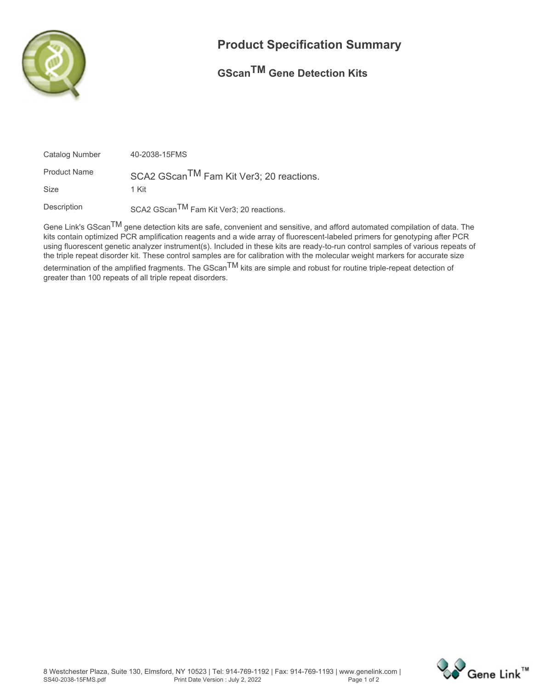

## **Product Specification Summary**

## **GScanTM Gene Detection Kits**

| Catalog Number      | 40-2038-15FMS                                        |
|---------------------|------------------------------------------------------|
| <b>Product Name</b> | SCA2 GScan <sup>TM</sup> Fam Kit Ver3; 20 reactions. |
| <b>Size</b>         | 1 Kit                                                |
| Description         | SCA2 GScan <sup>TM</sup> Fam Kit Ver3; 20 reactions. |

**Gene Link's GScanTM gene detection kits are safe, convenient and sensitive, and afford automated compilation of data. The kits contain optimized PCR amplification reagents and a wide array of fluorescent-labeled primers for genotyping after PCR using fluorescent genetic analyzer instrument(s). Included in these kits are ready-to-run control samples of various repeats of the triple repeat disorder kit. These control samples are for calibration with the molecular weight markers for accurate size**

**determination of the amplified fragments. The GScanTM kits are simple and robust for routine triple-repeat detection of greater than 100 repeats of all triple repeat disorders.**